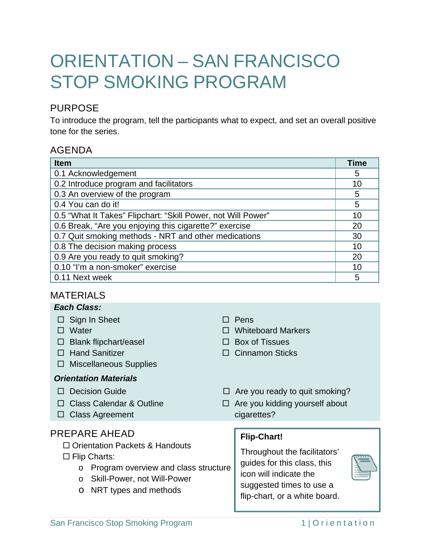# ORIENTATION – SAN FRANCISCO STOP SMOKING PROGRAM

# PURPOSE

To introduce the program, tell the participants what to expect, and set an overall positive tone for the series.

## AGENDA

| <b>Item</b>                                                  | <b>Time</b> |
|--------------------------------------------------------------|-------------|
| 0.1 Acknowledgement                                          | 5           |
| 0.2 Introduce program and facilitators                       | 10          |
| 0.3 An overview of the program                               | 5           |
| 0.4 You can do it!                                           | 5           |
| 0.5 "What It Takes" Flipchart: "Skill Power, not Will Power" | 10          |
| 0.6 Break, "Are you enjoying this cigarette?" exercise       | 20          |
| 0.7 Quit smoking methods - NRT and other medications         | 30          |
| 0.8 The decision making process                              | 10          |
| 0.9 Are you ready to quit smoking?                           | 20          |
| 0.10 "I'm a non-smoker" exercise                             | 10          |
| 0.11 Next week                                               | 5           |

## MATERIALS

|                                       | <b>Each Class:</b>                        |                              |                                                                                                                                                                                                                                |  |  |
|---------------------------------------|-------------------------------------------|------------------------------|--------------------------------------------------------------------------------------------------------------------------------------------------------------------------------------------------------------------------------|--|--|
|                                       | $\Box$ Sign In Sheet                      | $\mathsf{L}$                 | Pens                                                                                                                                                                                                                           |  |  |
|                                       | Water                                     |                              | <b>Whiteboard Markers</b>                                                                                                                                                                                                      |  |  |
|                                       | <b>Blank flipchart/easel</b>              |                              | <b>Box of Tissues</b>                                                                                                                                                                                                          |  |  |
|                                       | <b>Hand Sanitizer</b>                     |                              | $\Box$ Cinnamon Sticks                                                                                                                                                                                                         |  |  |
| ப                                     | <b>Miscellaneous Supplies</b>             |                              |                                                                                                                                                                                                                                |  |  |
| <b>Orientation Materials</b>          |                                           |                              |                                                                                                                                                                                                                                |  |  |
| $\perp$                               | <b>Decision Guide</b>                     |                              | $\Box$ Are you ready to quit smoking?                                                                                                                                                                                          |  |  |
|                                       | $\Box$ Class Calendar & Outline           |                              | $\Box$ Are you kidding yourself about                                                                                                                                                                                          |  |  |
|                                       | $\Box$ Class Agreement                    |                              | cigarettes?                                                                                                                                                                                                                    |  |  |
|                                       |                                           |                              |                                                                                                                                                                                                                                |  |  |
|                                       | PREPARE AHEAD                             |                              | <b>Flip-Chart!</b>                                                                                                                                                                                                             |  |  |
| $\Box$ Orientation Packets & Handouts |                                           | Throughout the facilitators' |                                                                                                                                                                                                                                |  |  |
|                                       | $\Box$ Flip Charts:                       |                              | guides for this class, this                                                                                                                                                                                                    |  |  |
|                                       | Program overview and class structure<br>O |                              | icon will indicate the                                                                                                                                                                                                         |  |  |
|                                       | Skill-Power, not Will-Power<br>$\circ$    |                              | suggested times to use a                                                                                                                                                                                                       |  |  |
|                                       | NRT types and methods<br>$\circ$          |                              | Alternative and the control of the control of the control of the control of the control of the control of the control of the control of the control of the control of the control of the control of the control of the control |  |  |

flip-chart, or a white board.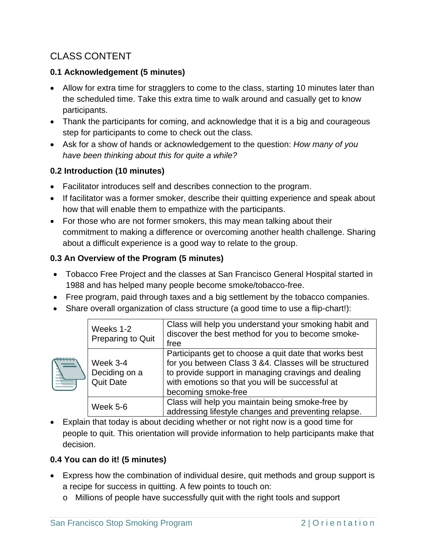# CLASS CONTENT

## **0.1 Acknowledgement (5 minutes)**

- Allow for extra time for stragglers to come to the class, starting 10 minutes later than the scheduled time. Take this extra time to walk around and casually get to know participants.
- Thank the participants for coming, and acknowledge that it is a big and courageous step for participants to come to check out the class.
- Ask for a show of hands or acknowledgement to the question: *How many of you have been thinking about this for quite a while?*

## **0.2 Introduction (10 minutes)**

- Facilitator introduces self and describes connection to the program.
- If facilitator was a former smoker, describe their quitting experience and speak about how that will enable them to empathize with the participants.
- For those who are not former smokers, this may mean talking about their commitment to making a difference or overcoming another health challenge. Sharing about a difficult experience is a good way to relate to the group.

## **0.3 An Overview of the Program (5 minutes)**

- Tobacco Free Project and the classes at San Francisco General Hospital started in 1988 and has helped many people become smoke/tobacco-free.
- Free program, paid through taxes and a big settlement by the tobacco companies.
- Share overall organization of class structure (a good time to use a flip-chart!):

|  | Weeks 1-2<br>Preparing to Quit                | Class will help you understand your smoking habit and<br>discover the best method for you to become smoke-<br>free                                                                                                                                |
|--|-----------------------------------------------|---------------------------------------------------------------------------------------------------------------------------------------------------------------------------------------------------------------------------------------------------|
|  | Week 3-4<br>Deciding on a<br><b>Quit Date</b> | Participants get to choose a quit date that works best<br>for you between Class 3 &4. Classes will be structured<br>to provide support in managing cravings and dealing<br>with emotions so that you will be successful at<br>becoming smoke-free |
|  | Week 5-6                                      | Class will help you maintain being smoke-free by<br>addressing lifestyle changes and preventing relapse.                                                                                                                                          |

 Explain that today is about deciding whether or not right now is a good time for people to quit. This orientation will provide information to help participants make that decision.

# **0.4 You can do it! (5 minutes)**

- Express how the combination of individual desire, quit methods and group support is a recipe for success in quitting. A few points to touch on:
	- o Millions of people have successfully quit with the right tools and support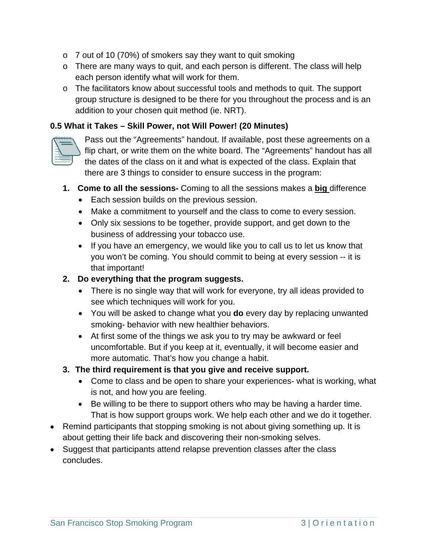- o 7 out of 10 (70%) of smokers say they want to quit smoking
- o There are many ways to quit, and each person is different. The class will help each person identify what will work for them.
- o The facilitators know about successful tools and methods to quit. The support group structure is designed to be there for you throughout the process and is an addition to your chosen quit method (ie. NRT).

#### **0.5 What it Takes – Skill Power, not Will Power! (20 Minutes)**



Pass out the "Agreements" handout. If available, post these agreements on a flip chart, or write them on the white board. The "Agreements" handout has all the dates of the class on it and what is expected of the class. Explain that there are 3 things to consider to ensure success in the program:

- **1. Come to all the sessions-** Coming to all the sessions makes a **big** difference
	- Each session builds on the previous session.
	- Make a commitment to yourself and the class to come to every session.
	- Only six sessions to be together, provide support, and get down to the business of addressing your tobacco use.
	- If you have an emergency, we would like you to call us to let us know that you won't be coming. You should commit to being at every session -- it is that important!

#### **2. Do everything that the program suggests.**

- There is no single way that will work for everyone, try all ideas provided to see which techniques will work for you.
- You will be asked to change what you **do** every day by replacing unwanted smoking- behavior with new healthier behaviors.
- At first some of the things we ask you to try may be awkward or feel uncomfortable. But if you keep at it, eventually, it will become easier and more automatic. That's how you change a habit.
- **3. The third requirement is that you give and receive support.**
	- Come to class and be open to share your experiences- what is working, what is not, and how you are feeling.
	- Be willing to be there to support others who may be having a harder time. That is how support groups work. We help each other and we do it together.
- Remind participants that stopping smoking is not about giving something up. It is about getting their life back and discovering their non-smoking selves.
- Suggest that participants attend relapse prevention classes after the class concludes.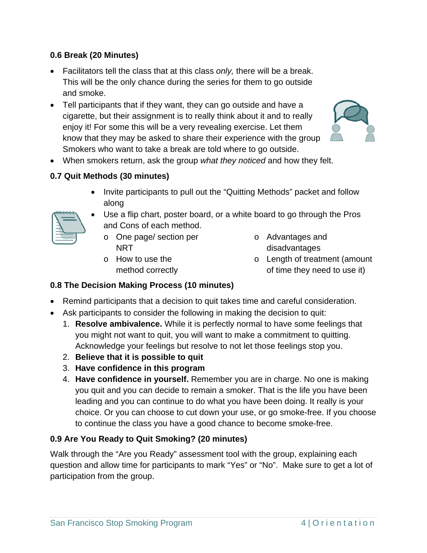#### **0.6 Break (20 Minutes)**

- Facilitators tell the class that at this class *only,* there will be a break. This will be the only chance during the series for them to go outside and smoke.
- Tell participants that if they want, they can go outside and have a cigarette, but their assignment is to really think about it and to really enjoy it! For some this will be a very revealing exercise. Let them know that they may be asked to share their experience with the group Smokers who want to take a break are told where to go outside.



When smokers return, ask the group *what they noticed* and how they felt.

## **0.7 Quit Methods (30 minutes)**

• Invite participants to pull out the "Quitting Methods" packet and follow along



- Use a flip chart, poster board, or a white board to go through the Pros and Cons of each method.
	- o One page/ section per NRT
	- o How to use the method correctly
- o Advantages and disadvantages
- o Length of treatment (amount of time they need to use it)

## **0.8 The Decision Making Process (10 minutes)**

- Remind participants that a decision to quit takes time and careful consideration.
- Ask participants to consider the following in making the decision to quit:
	- 1. **Resolve ambivalence.** While it is perfectly normal to have some feelings that you might not want to quit, you will want to make a commitment to quitting. Acknowledge your feelings but resolve to not let those feelings stop you.
	- 2. **Believe that it is possible to quit**
	- 3. **Have confidence in this program**
	- 4. **Have confidence in yourself.** Remember you are in charge. No one is making you quit and you can decide to remain a smoker. That is the life you have been leading and you can continue to do what you have been doing. It really is your choice. Or you can choose to cut down your use, or go smoke-free. If you choose to continue the class you have a good chance to become smoke-free.

## **0.9 Are You Ready to Quit Smoking? (20 minutes)**

Walk through the "Are you Ready" assessment tool with the group, explaining each question and allow time for participants to mark "Yes" or "No". Make sure to get a lot of participation from the group.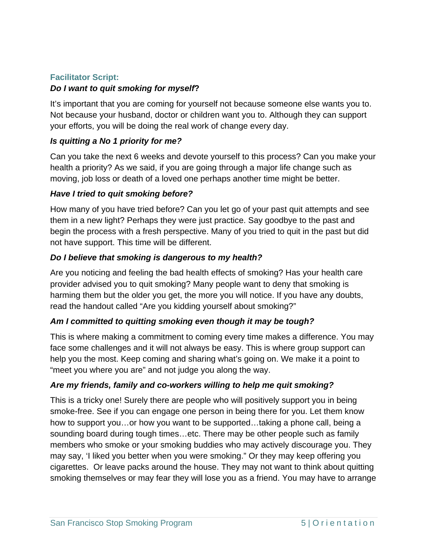#### **Facilitator Script:**

#### *Do I want to quit smoking for myself***?**

It's important that you are coming for yourself not because someone else wants you to. Not because your husband, doctor or children want you to. Although they can support your efforts, you will be doing the real work of change every day.

#### *Is quitting a No 1 priority for me?*

Can you take the next 6 weeks and devote yourself to this process? Can you make your health a priority? As we said, if you are going through a major life change such as moving, job loss or death of a loved one perhaps another time might be better.

#### *Have I tried to quit smoking before?*

How many of you have tried before? Can you let go of your past quit attempts and see them in a new light? Perhaps they were just practice. Say goodbye to the past and begin the process with a fresh perspective. Many of you tried to quit in the past but did not have support. This time will be different.

#### *Do I believe that smoking is dangerous to my health?*

Are you noticing and feeling the bad health effects of smoking? Has your health care provider advised you to quit smoking? Many people want to deny that smoking is harming them but the older you get, the more you will notice. If you have any doubts, read the handout called "Are you kidding yourself about smoking?"

#### *Am I committed to quitting smoking even though it may be tough?*

This is where making a commitment to coming every time makes a difference. You may face some challenges and it will not always be easy. This is where group support can help you the most. Keep coming and sharing what's going on. We make it a point to "meet you where you are" and not judge you along the way.

#### *Are my friends, family and co-workers willing to help me quit smoking?*

This is a tricky one! Surely there are people who will positively support you in being smoke-free. See if you can engage one person in being there for you. Let them know how to support you…or how you want to be supported…taking a phone call, being a sounding board during tough times…etc. There may be other people such as family members who smoke or your smoking buddies who may actively discourage you. They may say, 'I liked you better when you were smoking." Or they may keep offering you cigarettes. Or leave packs around the house. They may not want to think about quitting smoking themselves or may fear they will lose you as a friend. You may have to arrange